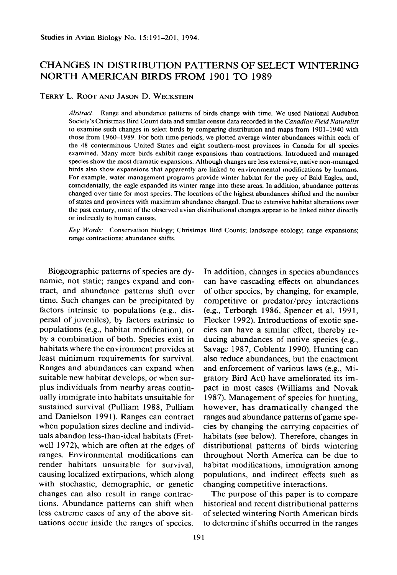# **CHANGES IN DISTRIBUTION PATTERNS OF SELECT WINTERING NORTH AMERICAN BIRDS FROM 1901 TO 1989**

#### **TERRY L. ROOT AND JASON D. WECKSTEIN**

**Abstract. Range and abundance patterns of birds change with time. We used National Audubon Societys ' Christmas Bird Count data and similar census data recorded in the Canadian Field Naturalist to examine such changes in select birds by comparing distribution and maps from 1901-1940 with those from 1960-l 989. For both time periods, we plotted average winter abundances within each of the 48 conterminous United States and eight southern-most provinces in Canada for all species examined. Many more birds exhibit range expansions than contractions. Introduced and managed species show the most dramatic expansions. Although changes are less extensive, native non-managed birds also show expansions that apparently are linked to environmental modifications by humans. For example, water management programs provide winter habitat for the prey of Bald Eagles, and, coincidentally, the eagle expanded its winter range into these areas. In addition, abundance patterns changed over time for most species. The locations of the highest abundances shifted and the number of states and provinces with maximum abundance changed. Due to extensive habitat alterations over the past century, most of the observed avian distributional changes appear to be linked either directly or indirectly to human causes.** 

**Key Words: Conservation biology; Christmas Bird Counts; landscape ecology; range expansions; range contractions; abundance shifts.** 

**Biogeographic patterns of species are dynamic, not static; ranges expand and contract, and abundance patterns shift over time. Such changes can be precipitated by factors intrinsic to populations (e.g., dispersal of juveniles), by factors extrinsic to populations (e.g., habitat modification), or by a combination of both. Species exist in habitats where the environment provides at least minimum requirements for survival. Ranges and abundances can expand when suitable new habitat develops, or when surplus individuals from nearby areas continually immigrate into habitats unsuitable for sustained survival (Pulliam 1988, Pulliam and Danielson 199 1). Ranges can contract when population sizes decline and individuals abandon less-than-ideal habitats (Fret**well 1972), which are often at the edges of **ranges. Environmental modifications can render habitats unsuitable for survival, causing localized extirpations, which along with stochastic, demographic, or genetic changes can also result in range contractions. Abundance patterns can shift when less extreme cases of any of the above situations occur inside the ranges of species.** 

**In addition, changes in species abundances can have cascading effects on abundances of other species, by changing, for example, competitive or predator/prey interactions (e.g., Terborgh 1986, Spencer et al. 199 1, Flecker 1992). Introductions of exotic species can have a similar effect, thereby reducing abundances of native species (e.g., Savage 1987, Coblentz 1990). Hunting can also reduce abundances, but the enactment and enforcement of various laws (e.g., Migratory Bird Act) have ameliorated its impact in most cases (Williams and Novak 1987). Management of species for hunting, however, has dramatically changed the ranges and abundance patterns of game species by changing the carrying capacities of habitats (see below). Therefore, changes in distributional patterns of birds wintering throughout North America can be due to habitat modifications, immigration among populations, and indirect effects such as changing competitive interactions.** 

**The purpose of this paper is to compare historical and recent distributional patterns of selected wintering North American birds to determine if shifts occurred in the ranges**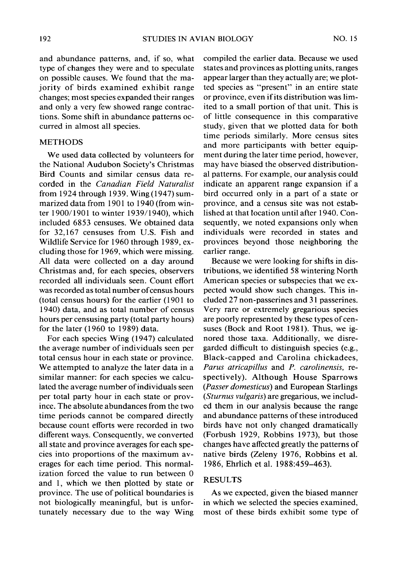**and abundance patterns, and, if so, what type of changes they were and to speculate on possible causes. We found that the majority of birds examined exhibit range changes; most species expanded their ranges and only a very few showed range contractions. Some shift in abundance patterns occurred in almost all species.** 

### **METHODS**

**We used data collected by volunteers for the National Audubon Societys ' Christmas Bird Counts and similar census data recorded in the Canadian Field Naturalist from 1924 through 1939. Wing (1947) sum**marized data from 1901 to 1940 (from win**ter 1900/l 90 1 to winter 1939/ 1940) which included 6853 censuses. We obtained data for 32,167 censuses from U.S. Fish and Wildlife Service for 1960 through 1989, excluding those for 1969, which were missing. All data were collected on a day around Christmas and, for each species, observers recorded all individuals seen. Count effort**  was recorded as total number of census hours (total census hours) for the earlier (1901 to **1940) data, and as total number of census hours per censusing party (total party hours) for the later (1960 to 1989) data.** 

**For each species Wing (1947) calculated the average number of individuals seen per total census hour in each state or province. We attempted to analyze the later data in a similar manner: for each species we calculated the average number of individuals seen per total party hour in each state or province. The absolute abundances from the two time periods cannot be compared directly because count efforts were recorded in two different ways. Consequently, we converted all state and province averages for each species into proportions of the maximum averages for each time period. This normalization forced the value to run between 0 and 1, which we then plotted by state or province. The use of political boundaries is not biologically meaningful, but is unfortunately necessary due to the way Wing** 

**compiled the earlier data. Because we used states and provinces as plotting units, ranges appear larger than they actually are; we plotted species as "present" in an entire state or province, even if its distribution was limited to a small portion of that unit. This is of little consequence in this comparative study, given that we plotted data for both time periods similarly. More census sites and more participants with better equipment during the later time period, however, may have biased the observed distributional patterns. For example, our analysis could indicate an apparent range expansion if a bird occurred only in a part of a state or province, and a census site was not established at that location until after 1940. Consequently, we noted expansions only when individuals were recorded in states and provinces beyond those neighboring the earlier range.** 

**Because we were looking for shifts in distributions, we identified 58 wintering North American species or subspecies that we expected would show such changes. This included 27 non-passerines and 3 1 passerines. Very rare or extremely gregarious species are poorly represented by these types of cen**suses (Bock and Root 1981). Thus, we ig**nored those taxa. Additionally, we disregarded difficult to distinguish species (e.g., Black-capped and Carolina chickadees, Parus atricapillus and P. carolinensis, respectively). Although House Sparrows (Passer domesticus) and European Starlings (Sturnus vulgaris) are gregarious, we included them in our analysis because the range and abundance patterns of these introduced birds have not only changed dramatically (Forbush 1929, Robbins 1973), but those changes have affected greatly the patterns of native birds (Zeleny 1976, Robbins et al. 1986, Ehrlich et al. 1988:459-463).** 

## **RESULTS**

**As we expected, given the biased manner in which we selected the species examined, most of these birds exhibit some type of**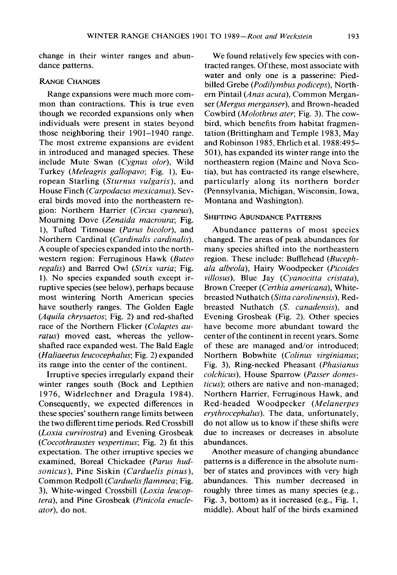**change in their winter ranges and abundance patterns.** 

#### **RANGE CHANGES**

**Range expansions were much more common than contractions. This is true even though we recorded expansions only when individuals were present in states beyond**  those neighboring their 1901–1940 range. **The most extreme expansions are evident in introduced and managed species. These**  include Mute Swan (Cygnus olor), Wild **Turkey (Meleagris gallopavo; Fig. l), European Starling (Sturnus vulgaris), and House Finch (Carpodacus mexicanus). Several birds moved into the northeastern region: Northern Harrier (Circus cyaneus), Mourning Dove (Zenaidu macrouru; Fig. l), Tufted Titmouse (Parus bicolor), and Northern Cardinal (Cardinalis cardinalis). A couple of species expanded into the northwestern region: Ferruginous Hawk (Buteo regalis) and Barred Owl (Strix varia; Fig. 1). No species expanded south except irruptive species (see below), perhaps because most wintering North American species have southerly ranges. The Golden Eagle (Aquila chrysaetos; Fig. 2) and red-shafted race of the Northern Flicker (Colaptes auratus) moved east, whereas the yellowshafted race expanded west. The Bald Eagle (Haliaeetus leucocephalus; Fig. 2) expanded its range into the center of the continent.** 

**Irruptive species irregularly expand their winter ranges south (Bock and Lepthien 1976, Widrlechner and Dragula 1984). Consequently, we expected differences in these species' southern range limits between the two different time periods. Red Crossbill (Loxia curvirostra) and Evening Grosbeak (Coccothraustes vespertinus; Fig. 2) fit this expectation. The other irruptive species we examined, Boreal Chickadee (Parus hudsonicus), Pine Siskin (Carduelis pinus), Common Redpoll (Carduelis flammea; Fig. 3), White-winged Crossbill (Loxia leucoptera), and Pine Grosbeak (Pinicola enucleator), do not.** 

**We found relatively few species with contracted ranges. Of these, most associate with water and only one is a passerine: Piedbilled Grebe (Podilymbus podiceps), Northem Pintail (Anas acuta), Common Merganser (Mergus merganser), and Brown-headed Cowbird (Molothrus ater; Fig. 3). The cowbird, which benefits from habitat fragmentation (Brittingham and Temple 1983, May and Robinson 1985, Ehrlich et al. 1988:495- 50 l), has expanded its winter range into the northeastern region (Maine and Nova Scotia), but has contracted its range elsewhere, particularly along its northern border (Pennsylvania, Michigan, Wisconsin, Iowa, Montana and Washington).** 

#### **SHIFTING ABUNDANCE PATTERNS**

**Abundance patterns of most species changed. The areas of peak abundances for many species shifted into the northeastern region. These include: Bufflehead (Bucephala albeola), Hairy Woodpecker (Picoides villosus), Blue Jay (Cyanocitta cristata), Brown Creeper (Certhia americana), Whitebreasted Nuthatch (Sitta carolinensis), Redbreasted Nuthatch (S. canadensis), and Evening Grosbeak (Fig. 2). Other species have become more abundant toward the center of the continent in recent years. Some of these are managed and/or introduced; Northern Bobwhite (Colinus virginianus; Fig. 3), Ring-necked Pheasant (Phasianus colchicus), House Sparrow (Passer domesticus); others are native and non-managed; Northern Harrier, Ferruginous Hawk, and Red-headed Woodpecker (Melanerpes erythrocephalus). The data, unfortunately, do not allow us to know if these shifts were due to increases or decreases in absolute abundances.** 

**Another measure of changing abundance patterns is a difference in the absolute number of states and provinces with very high abundances. This number decreased in roughly three times as many species (e.g., Fig. 3, bottom) as it increased (e.g., Fig. 1, middle). About half of the birds examined**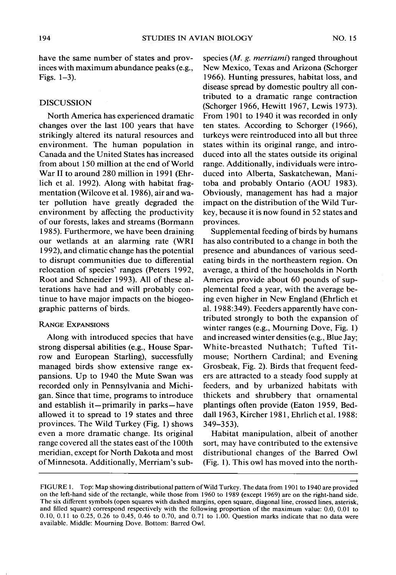**have the same number of states and provinces with maximum abundance peaks (e.g., Figs. l-3).** 

## **DISCUSSION**

**North America has experienced dramatic changes over the last 100 years that have strikingly altered its natural resources and environment. The human population in Canada and the United States has increased from about 150 million at the end of World**  War II to around 280 million in 1991 (Ehr**lich et al. 1992). Along with habitat fragmentation (Wilcove et al. 1986) air and water pollution have greatly degraded the environment by affecting the productivity of our forests, lakes and streams (Bormann 1985). Furthermore, we have been draining our wetlands at an alarming rate (WRI 1992), and climatic change has the potential to disrupt communities due to differential relocation of species' ranges (Peters 1992, Root and Schneider 1993). All of these alterations have had and will probably continue to have major impacts on the biogeographic patterns of birds.** 

#### **RANGE EXPANSIONS**

**Along with introduced species that have strong dispersal abilities (e.g., House Sparrow and European Starling), successfully managed birds show extensive range expansions. Up to 1940 the Mute Swan was recorded only in Pennsylvania and Michigan. Since that time, programs to introduce and establish it-primarily in parks-have allowed it to spread to 19 states and three provinces. The Wild Turkey (Fig. 1) shows even a more dramatic change. Its original range covered all the states east of the 100th meridian, except for North Dakota and most**  of Minnesota. Additionally, Merriam's sub-

**species (M. g. merriami) ranged throughout New Mexico, Texas and Arizona (Schorger 1966). Hunting pressures, habitat loss, and disease spread by domestic poultry all contributed to a dramatic range contraction (Schorger 1966, Hewitt 1967, Lewis 1973).**  From 1901 to 1940 it was recorded in only ten states. According to Schorger (1966), **turkeys were reintroduced into all but three states within its original range, and introduced into all the states outside its original range. Additionally, individuals were introduced into Alberta, Saskatchewan, Manitoba and probably Ontario (AOU 1983). Obviously, management has had a major impact on the distribution of the Wild Turkey, because it is now found in 52 states and provinces.** 

**Supplemental feeding of birds by humans has also contributed to a change in both the presence and abundances of various seedeating birds in the northeastern region. On average, a third of the households in North America provide about 60 pounds of supplemental feed a year, with the average being even higher in New England (Ehrlich et al. 1988:349). Feeders apparently have contributed strongly to both the expansion of winter ranges (e.g., Mourning Dove, Fig. 1) and increased winter densities (e.g., Blue Jay; White-breasted Nuthatch; Tufted Titmouse; Northern Cardinal; and Evening Grosbeak, Fig. 2). Birds that frequent feeders are attracted to a steady food supply at feeders, and by urbanized habitats with thickets and shrubbery that ornamental plantings often provide (Eaton 1959, Bedda11 1963,Kircher 1981,Ehrlichetal. 1988: 349-353).** 

**Habitat manipulation, albeit of another sort, may have contributed to the extensive distributional changes of the Barred Owl (Fig. 1). This owl has moved into the north-** 

**<sup>+</sup>  FIGURE 1. Top: Map showing distributional pattern of Wild Turkey. The data from 190 1 to 1940 are provided on the left-hand side of the rectangle, while those from 1960 to 1989 (except 1969) are on the right-hand side. The six different symbols (open squares with dashed margins, open square, diagonal line, crossed lines, asterisk, and filled square) correspond respectively with the following proportion of the maximum value: 0.0, 0.01 to 0.10, 0.11 to 0.25, 0.26 to 0.45, 0.46 to 0.70, and 0.71 to 1.00. Question marks indicate that no data were available. Middle: Mourning Dove. Bottom: Barred Owl.**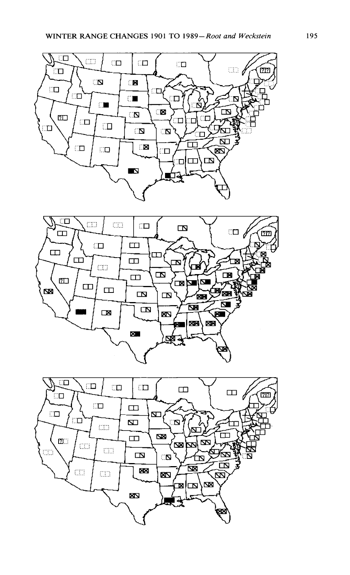



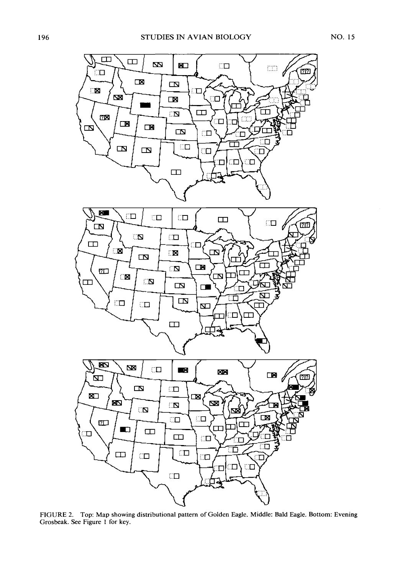

**FIGURE 2. Top: Map showing distributional pattern of Golden Eagle. Middle: Bald Eagle. Bottom: Evening Grosbeak. See Figure 1 for key.**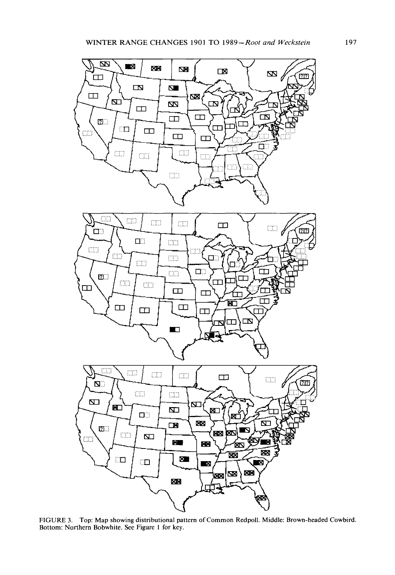

**FIGURE 3. Top: Map showing distributional pattern of Common Redpoll. Middle: Brown-headed Cowbird. Bottom: Northern Bobwhite. See Figure 1 for key.**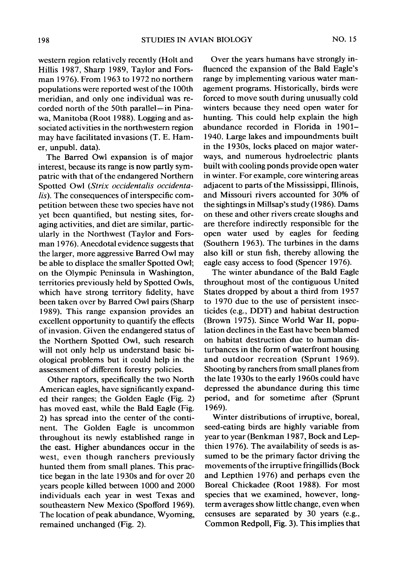**western region relatively recently (Holt and Hillis 1987, Sharp 1989, Taylor and Forsman 1976). From 1963 to 1972 no northern populations were reported west of the 100th meridian, and only one individual was recorded north of the 50th parallel-in Pinawa, Manitoba (Root 1988). Logging and associated activities in the northwestern region may have facilitated invasions (T. E. Hamer, unpubl. data).** 

**The Barred Owl expansion is of major interest, because its range is now partly sympatric with that of the endangered Northern Spotted Owl (Strix occidentalis occidenta- /is). The consequences of interspecific competition between these two species have not yet been quantified, but nesting sites, foraging activities, and diet are similar, particularly in the Northwest (Taylor and Forsman 1976). Anecdotal evidence suggests that the larger, more aggressive Barred Owl may be able to displace the smaller Spotted Owl; on the Olympic Peninsula in Washington, territories previously held by Spotted Owls, which have strong territory fidelity, have been taken over by Barred Owl pairs (Sharp 1989). This range expansion provides an excellent opportunity to quantify the effects of invasion. Given the endangered status of the Northern Spotted Owl, such research will not only help us understand basic biological problems but it could help in the assessment of different forestry policies.** 

**Other raptors, specifically the two North American eagles, have significantly expanded their ranges; the Golden Eagle (Fig. 2) has moved east, while the Bald Eagle (Fig. 2) has spread into the center of the continent. The Golden Eagle is uncommon throughout its newly established range in the east. Higher abundances occur in the west, even though ranchers previously hunted them from small planes. This practice began in the late 1930s and for over 20 years people killed between 1000 and 2000 individuals each year in west Texas and southeastern New Mexico (Spofford 1969). The location of peak abundance, Wyoming, remained unchanged (Fig. 2).** 

**Over the years humans have strongly in**fluenced the expansion of the Bald Eagle's **range by implementing various water management programs. Historically, birds were forced to move south during unusually cold winters because they need open water for hunting. This could help explain the high abundance recorded in Florida in 1901- 1940. Large lakes and impoundments built**  in the 1930s, locks placed on major water**ways, and numerous hydroelectric plants built with cooling ponds provide open water in winter. For example, core wintering areas adjacent to parts of the Mississippi, Illinois, and Missouri rivers accounted for 30% of**  the sightings in Millsap's study (1986). Dams **on these and other rivers create sloughs and are therefore indirectly responsible for the open water used by eagles for feeding (Southern 1963). The turbines in the dams also kill or stun fish, thereby allowing the eagle easy access to food (Spencer 1976).** 

**The winter abundance of the Bald Eagle throughout most of the contiguous United States dropped by about a third from 1957 to 1970 due to the use of persistent insecticides (e.g., DDT) and habitat destruction (Brown 1975). Since World War II, population declines in the East have been blamed on habitat destruction due to human disturbances in the form of waterfront housing and outdoor recreation (Sprunt 1969). Shooting by ranchers from small planes from the late 1930s to the early 1960s could have depressed the abundance during this time period, and for sometime after (Sprunt 1969).** 

**Winter distributions of irruptive, boreal, seed-eating birds are highly variable from year to year (Benkman 1987, Bock and Lepthien 1976). The availability of seeds is assumed to be the primary factor driving the movements of the irruptive fringillids (Bock and Lepthien 1976) and perhaps even the Boreal Chickadee (Root 1988). For most species that we examined, however, longterm averages show little change, even when censuses are separated by 30 years (e.g., Common Redpoll, Fig. 3). This implies that**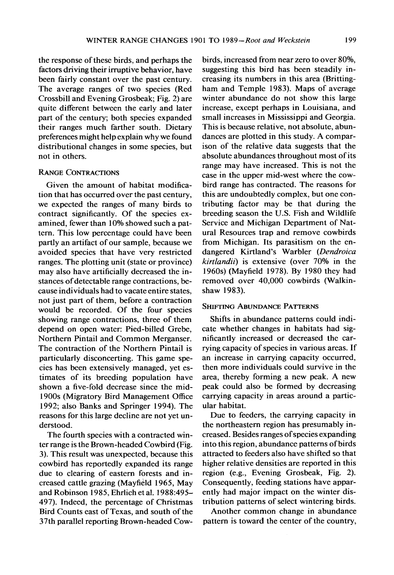**the response of these birds, and perhaps the factors driving their irruptive behavior, have been fairly constant over the past century. The average ranges of two species (Red Crossbill and Evening Grosbeak; Fig. 2) are quite different between the early and later part of the century; both species expanded their ranges much farther south. Dietary preferences might help explain why we found distributional changes in some species, but not in others.** 

### **RANGE CONTRACTIONS**

**Given the amount of habitat modification that has occurred over the past century, we expected the ranges of many birds to contract significantly. Of the species examined, fewer than 10% showed such a pattern. This low percentage could have been partly an artifact of our sample, because we avoided species that have very restricted ranges. The plotting unit (state or province) may also have artificially decreased the instances of detectable range contractions, because individuals had to vacate entire states, not just part of them, before a contraction would be recorded. Of the four species showing range contractions, three of them depend on open water: Pied-billed Grebe, Northern Pintail and Common Merganser. The contraction of the Northern Pintail is particularly disconcerting. This game species has been extensively managed, yet estimates of its breeding population have shown a five-fold decrease since the mid-1900s (Migratory Bird Management Office 1992; also Banks and Springer 1994). The reasons for this large decline are not yet understood.** 

**The fourth species with a contracted winter range is the Brown-headed Cowbird (Fig. 3). This result was unexpected, because this cowbird has reportedly expanded its range due to clearing of eastern forests and increased cattle grazing (Mayfield 1965, May and Robinson 1985, Ehrlich et al. 1988:495- 497). Indeed, the percentage of Christmas Bird Counts east of Texas, and south of the 37th parallel reporting Brown-headed Cow-**

**birds, increased from near zero to over 80%, suggesting this bird has been steadily increasing its numbers in this area (Brittingham and Temple 1983). Maps of average winter abundance do not show this large increase, except perhaps in Louisiana, and small increases in Mississippi and Georgia. This is because relative, not absolute, abundances are plotted in this study. A comparison of the relative data suggests that the absolute abundances throughout most of its range may have increased. This is not the case in the upper mid-west where the cowbird range has contracted. The reasons for this are undoubtedly complex, but one contributing factor may be that during the breeding season the U.S. Fish and Wildlife Service and Michigan Department of Natural Resources trap and remove cowbirds from Michigan. Its parasitism on the en**dangered Kirtland's Warbler (Dendroica **kirtlandii) is extensive (over 70% in the 1960s) (Mayfield 1978). By 1980 they had removed over 40,000 cowbirds (Walkinshaw 1983).** 

#### **SHIFTING ABUNDANCE PATTERNS**

**Shifts in abundance patterns could indicate whether changes in habitats had significantly increased or decreased the carrying capacity of species in various areas. If an increase in carrying capacity occurred, then more individuals could survive in the area, thereby forming a new peak. A new peak could also be formed by decreasing carrying capacity in areas around a particular habitat.** 

**Due to feeders, the carrying capacity in the northeastern region has presumably increased. Besides ranges of species expanding into this region, abundance patterns of birds attracted to feeders also have shifted so that higher relative densities are reported in this region (e.g., Evening Grosbeak, Fig. 2). Consequently, feeding stations have apparently had major impact on the winter distribution patterns of select wintering birds.** 

**Another common change in abundance pattern is toward the center of the country,**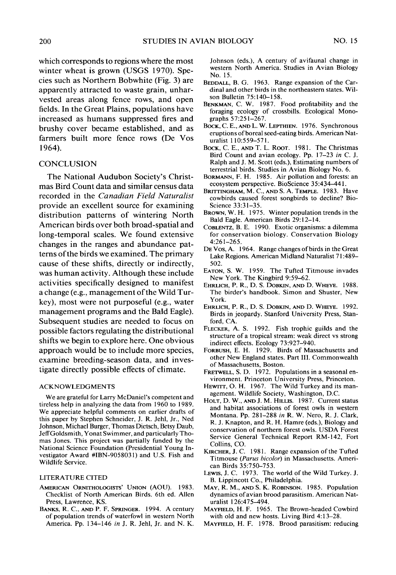**which corresponds to regions where the most winter wheat is grown (USGS 1970). Species such as Northern Bobwhite (Fig. 3) are apparently attracted to waste grain, unharvested areas along fence rows, and open fields. In the Great Plains, populations have increased as humans suppressed fires and brushy cover became established, and as farmers built more fence rows (De Vos 1964).** 

#### **CONCLUSION**

**The National Audubon Society's Christmas Bird Count data and similar census data recorded in the Canadian Field Naturalist provide an excellent source for examining distribution patterns of wintering North American birds over both broad-spatial and long-temporal scales. We found extensive changes in the ranges and abundance patterns ofthe birds we examined. The primary cause of these shifts, directly or indirectly, was human activity. Although these include activities specifically designed to manifest a change (e.g., management of the Wild Turkey), most were not purposeful (e.g., water management programs and the Bald Eagle). Subsequent studies are needed to focus on possible factors regulating the distributional shifts we begin to explore here. One obvious approach would be to include more species, examine breeding-season data, and investigate directly possible effects of climate.** 

#### **ACKNOWLEDGMENTS**

**We are grateful for Larry McDaniel's competent and tireless help in analyzing the data from 1960 to 1989. We appreciate helpful comments on earlier drafts of this paper by Stephen Schneider, J. R. Jehl, Jr., Ned Johnson, Michael Burger, Thomas Dietsch, Betsy Daub, Jeff Goldsmith, Yonat Swimmer, and particularly Thomas Jones. This project was partially funded by the National Science Foundation (Presidential Young Investigator Award #IBN-9058031) and U.S. Fish and Wildlife Service.** 

#### **LITERATURE CITED**

- **AMERICAN ORNITHOLOGISTS' UNION (AOU). 1983. Checklist of North American Birds. 6th ed. Allen Press, Lawrence, KS.**
- **BANKS, R. C., AND P. F. SPRINGER. 1994. A century of population trends of waterfowl in western North America. Pp. 134-146 in J. R. Jehl, Jr. and N. K.**

**Johnson (eds.), A century of avifaunal change in western North America. Studies in Avian Biology No. 15.** 

- **BEDDALL, B. G. 1963. Range expansion of the Cardinal and other birds in the northeastern states. Wilson Bulletin 75:140-158.**
- **BENKMAN, C. W. 1987. Food profitability and the foraging ecology of crossbills. Ecological Monographs 57:25 l-267.**
- **BOCK, C. E., AND L. W. LEPTHIEN. 1976. Synchronous eruptions of boreal seed-eating birds. American Naturalist 110:559-57 1.**
- **BOCK, C. E., AND T. L. ROOT. 1981. The Christmas Bird Count and avian ecology. Pp. 17-23 in C. J. Ralph and J. M. Scott (eds.), Estimating numbers of terrestrial birds. Studies in Avian Biology No. 6.**
- **BORMANN, F. H. 1985. Air pollution and forests: an ecosystem perspective. Bioscience 35:434-44 1.**
- **BRITTINGHAM, M. C., AND S. A. TEMPLE. 1983. Have cowbirds caused forest songbirds to decline? Bio-Science 33:31-35.**
- **BROWN, W. H. 1975. Winter population trends in the Bald Eagle. American Birds 29: 12-14.**
- **COBLENTZ, B. E. 1990. Exotic organisms: a dilemma for conservation biology. Conservation Biology 4~261-265.**
- De Vos, A. 1964. Range changes of birds in the Great **Lake Regions. American Midland Naturalist 7 1:489- 502.**
- **EATON, S. W. 1959. The Tufted Titmouse invades New York. The Kingbird 9:59-62.**
- **EHRLICH, P. R., D. S. DOBKIN, AND D. WHEYE. 1988. The birder's handbook. Simon and Shuster, New York.**
- **EHRLICH, P. R., D. S. DOBKIN, AND D. WHEYE. 1992. Birds in jeopardy. Stanford University Press, Stanford, CA.**
- **FLECKER, A. S. 1992. Fish trophic guilds and the structure of a tropical stream: weak direct vs strong indirect effects. Ecology 73~927-940.**
- FORBUSH, E. H. 1929. Birds of Massachusetts and **other New England states. Part III. Commonwealth of Massachusetts, Boston.**
- **FRETWELL, S. D. 1972. Populations in a seasonal environment. Princeton University Press, Princeton.**
- **HEWITT, 0. H. 1967. The Wild Turkey and its management. Wildlife Society, Washington, D.C.**
- **HOLT, D. W., AND J. M. HILLIS. 1987. Current status and habitat associations of forest owls in western Montana. Pp. 281-288 in R. W. Nero, R. J. Clark, R. J. Knapton, and R. H. Hamre (eds.), Biology and conservation of northern forest owls. USDA Forest Service General Technical Report RM-142, Fort Collins, CO.**
- KIRCHER, J. C. 1981. Range expansion of the Tufted Titmouse (Parus bicolor) in Massachusetts. Ameri**can Birds 35:750-753.**
- **LEWIS, J. C. 1973. The world of the Wild Turkey. J. B. Lippincott Co., Philadelphia.**
- MAY, R. M., AND S. K. ROBINSON. 1985. Population **dynamics of avian brood parasitism. American Nat**uralist 126:475-494.
- **MAYFIELD, H. F. 1965. The Brown-headed Cowbird with old and new hosts. Living Bird 4: 13-28.**
- **MAYFIELD, H. F. 1978. Brood parasitism: reducing**